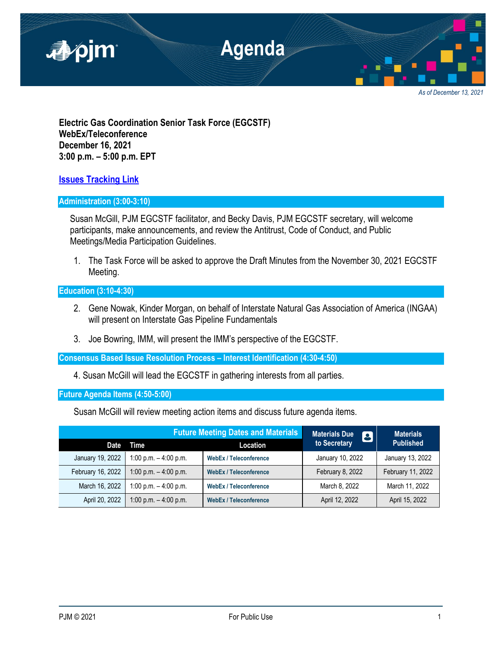

**Electric Gas Coordination Senior Task Force (EGCSTF) WebEx/Teleconference December 16, 2021 3:00 p.m. – 5:00 p.m. EPT**

**[Issues Tracking Link](https://www.pjm.com/committees-and-groups/issue-tracking/issue-tracking-details.aspx?Issue=e3c8385c-0638-4a1d-a5d2-8b1a2a87c295)**

# **Administration (3:00-3:10)**

Susan McGill, PJM EGCSTF facilitator, and Becky Davis, PJM EGCSTF secretary, will welcome participants, make announcements, and review the Antitrust, Code of Conduct, and Public Meetings/Media Participation Guidelines.

1. The Task Force will be asked to approve the Draft Minutes from the November 30, 2021 EGCSTF Meeting.

**Education (3:10-4:30)**

- 2. Gene Nowak, Kinder Morgan, on behalf of Interstate Natural Gas Association of America (INGAA) will present on Interstate Gas Pipeline Fundamentals
- 3. Joe Bowring, IMM, will present the IMM's perspective of the EGCSTF.

**Consensus Based Issue Resolution Process – Interest Identification (4:30-4:50)**

4. Susan McGill will lead the EGCSTF in gathering interests from all parties.

**Future Agenda Items (4:50-5:00)**

Susan McGill will review meeting action items and discuss future agenda items.

|                   | <b>Future Meeting Dates and Materials</b> |                               | <b>Materials Due</b><br>8 | <b>Materials</b>  |
|-------------------|-------------------------------------------|-------------------------------|---------------------------|-------------------|
| Date              | Time                                      | Location                      | to Secretary              | <b>Published</b>  |
| January 19, 2022  | 1:00 p.m. $-$ 4:00 p.m.                   | <b>WebEx / Teleconference</b> | January 10, 2022          | January 13, 2022  |
| February 16, 2022 | 1:00 p.m. $-$ 4:00 p.m.                   | <b>WebEx / Teleconference</b> | February 8, 2022          | February 11, 2022 |
| March 16, 2022    | 1:00 p.m. $-$ 4:00 p.m.                   | <b>WebEx / Teleconference</b> | March 8, 2022             | March 11, 2022    |
| April 20, 2022    | 1:00 p.m. $-$ 4:00 p.m.                   | <b>WebEx / Teleconference</b> | April 12, 2022            | April 15, 2022    |